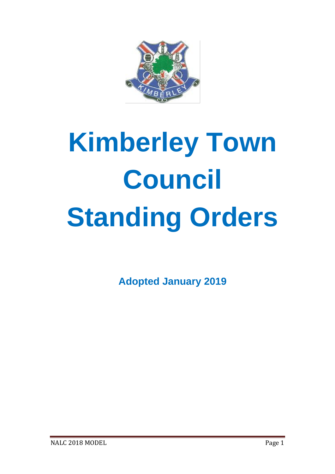

# **Kimberley Town Council Standing Orders**

**Adopted January 2019**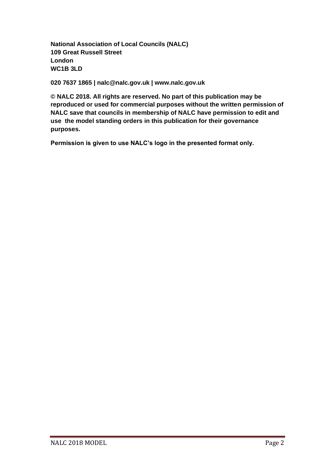**National Association of Local Councils (NALC) 109 Great Russell Street London WC1B 3LD**

**020 7637 1865 | nalc@nalc.gov.uk | www.nalc.gov.uk**

**© NALC 2018. All rights are reserved. No part of this publication may be reproduced or used for commercial purposes without the written permission of NALC save that councils in membership of NALC have permission to edit and use the model standing orders in this publication for their governance purposes.**

**Permission is given to use NALC's logo in the presented format only.**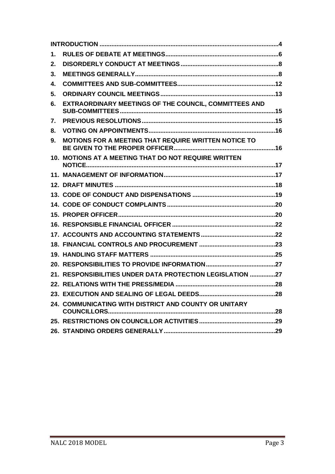| 1. |                                                           |  |
|----|-----------------------------------------------------------|--|
| 2. |                                                           |  |
| 3. |                                                           |  |
| 4. |                                                           |  |
| 5. |                                                           |  |
| 6. | EXTRAORDINARY MEETINGS OF THE COUNCIL, COMMITTEES AND     |  |
| 7. |                                                           |  |
| 8. |                                                           |  |
| 9. | MOTIONS FOR A MEETING THAT REQUIRE WRITTEN NOTICE TO      |  |
|    | 10. MOTIONS AT A MEETING THAT DO NOT REQUIRE WRITTEN      |  |
|    |                                                           |  |
|    |                                                           |  |
|    |                                                           |  |
|    |                                                           |  |
|    |                                                           |  |
|    |                                                           |  |
|    |                                                           |  |
|    |                                                           |  |
|    |                                                           |  |
|    |                                                           |  |
|    | 21. RESPONSIBILITIES UNDER DATA PROTECTION LEGISLATION 27 |  |
|    |                                                           |  |
|    |                                                           |  |
|    | 24. COMMUNICATING WITH DISTRICT AND COUNTY OR UNITARY     |  |
|    |                                                           |  |
|    |                                                           |  |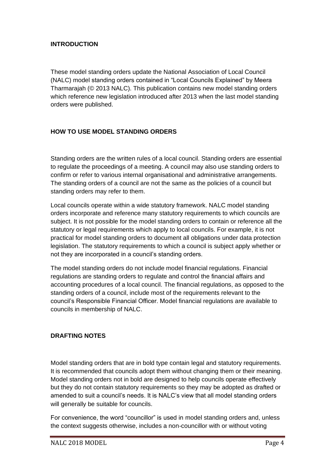### <span id="page-3-0"></span>**INTRODUCTION**

These model standing orders update the National Association of Local Council (NALC) model standing orders contained in "Local Councils Explained" by Meera Tharmarajah (© 2013 NALC). This publication contains new model standing orders which reference new legislation introduced after 2013 when the last model standing orders were published.

# **HOW TO USE MODEL STANDING ORDERS**

Standing orders are the written rules of a local council. Standing orders are essential to regulate the proceedings of a meeting. A council may also use standing orders to confirm or refer to various internal organisational and administrative arrangements. The standing orders of a council are not the same as the policies of a council but standing orders may refer to them.

Local councils operate within a wide statutory framework. NALC model standing orders incorporate and reference many statutory requirements to which councils are subject. It is not possible for the model standing orders to contain or reference all the statutory or legal requirements which apply to local councils. For example, it is not practical for model standing orders to document all obligations under data protection legislation. The statutory requirements to which a council is subject apply whether or not they are incorporated in a council's standing orders.

The model standing orders do not include model financial regulations. Financial regulations are standing orders to regulate and control the financial affairs and accounting procedures of a local council. The financial regulations, as opposed to the standing orders of a council, include most of the requirements relevant to the council's Responsible Financial Officer. Model financial regulations are available to councils in membership of NALC.

## **DRAFTING NOTES**

Model standing orders that are in bold type contain legal and statutory requirements. It is recommended that councils adopt them without changing them or their meaning. Model standing orders not in bold are designed to help councils operate effectively but they do not contain statutory requirements so they may be adopted as drafted or amended to suit a council's needs. It is NALC's view that all model standing orders will generally be suitable for councils.

For convenience, the word "councillor" is used in model standing orders and, unless the context suggests otherwise, includes a non-councillor with or without voting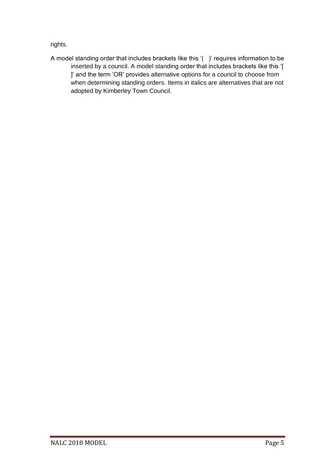rights.

A model standing order that includes brackets like this '( )' requires information to be inserted by a council. A model standing order that includes brackets like this '[ ]' and the term 'OR' provides alternative options for a council to choose from when determining standing orders. Items in italics are alternatives that are not adopted by Kimberley Town Council.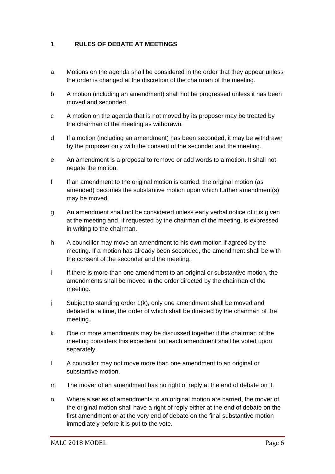# <span id="page-5-0"></span>1. **RULES OF DEBATE AT MEETINGS**

- a Motions on the agenda shall be considered in the order that they appear unless the order is changed at the discretion of the chairman of the meeting.
- b A motion (including an amendment) shall not be progressed unless it has been moved and seconded.
- c A motion on the agenda that is not moved by its proposer may be treated by the chairman of the meeting as withdrawn.
- d If a motion (including an amendment) has been seconded, it may be withdrawn by the proposer only with the consent of the seconder and the meeting.
- e An amendment is a proposal to remove or add words to a motion. It shall not negate the motion.
- f If an amendment to the original motion is carried, the original motion (as amended) becomes the substantive motion upon which further amendment(s) may be moved.
- g An amendment shall not be considered unless early verbal notice of it is given at the meeting and, if requested by the chairman of the meeting, is expressed in writing to the chairman.
- h A councillor may move an amendment to his own motion if agreed by the meeting. If a motion has already been seconded, the amendment shall be with the consent of the seconder and the meeting.
- i If there is more than one amendment to an original or substantive motion, the amendments shall be moved in the order directed by the chairman of the meeting.
- j Subject to standing order 1(k), only one amendment shall be moved and debated at a time, the order of which shall be directed by the chairman of the meeting.
- k One or more amendments may be discussed together if the chairman of the meeting considers this expedient but each amendment shall be voted upon separately.
- l A councillor may not move more than one amendment to an original or substantive motion.
- m The mover of an amendment has no right of reply at the end of debate on it.
- n Where a series of amendments to an original motion are carried, the mover of the original motion shall have a right of reply either at the end of debate on the first amendment or at the very end of debate on the final substantive motion immediately before it is put to the vote.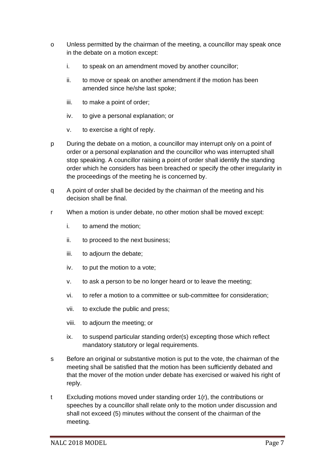- o Unless permitted by the chairman of the meeting, a councillor may speak once in the debate on a motion except:
	- i. to speak on an amendment moved by another councillor;
	- ii. to move or speak on another amendment if the motion has been amended since he/she last spoke;
	- iii. to make a point of order;
	- iv. to give a personal explanation; or
	- v. to exercise a right of reply.
- p During the debate on a motion, a councillor may interrupt only on a point of order or a personal explanation and the councillor who was interrupted shall stop speaking. A councillor raising a point of order shall identify the standing order which he considers has been breached or specify the other irregularity in the proceedings of the meeting he is concerned by.
- q A point of order shall be decided by the chairman of the meeting and his decision shall be final.
- r When a motion is under debate, no other motion shall be moved except:
	- i. to amend the motion;
	- ii. to proceed to the next business;
	- iii. to adjourn the debate;
	- iv. to put the motion to a vote;
	- v. to ask a person to be no longer heard or to leave the meeting;
	- vi. to refer a motion to a committee or sub-committee for consideration;
	- vii. to exclude the public and press;
	- viii. to adjourn the meeting; or
	- ix. to suspend particular standing order(s) excepting those which reflect mandatory statutory or legal requirements.
- s Before an original or substantive motion is put to the vote, the chairman of the meeting shall be satisfied that the motion has been sufficiently debated and that the mover of the motion under debate has exercised or waived his right of reply.
- t Excluding motions moved under standing order 1(r), the contributions or speeches by a councillor shall relate only to the motion under discussion and shall not exceed (5) minutes without the consent of the chairman of the meeting.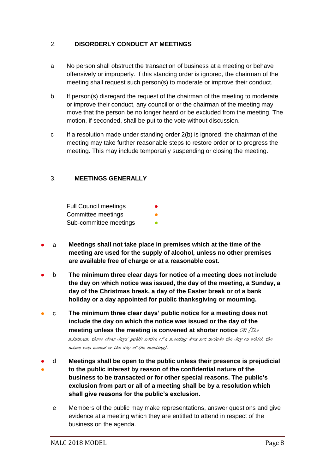# <span id="page-7-0"></span>2. **DISORDERLY CONDUCT AT MEETINGS**

- a No person shall obstruct the transaction of business at a meeting or behave offensively or improperly. If this standing order is ignored, the chairman of the meeting shall request such person(s) to moderate or improve their conduct.
- b If person(s) disregard the request of the chairman of the meeting to moderate or improve their conduct, any councillor or the chairman of the meeting may move that the person be no longer heard or be excluded from the meeting. The motion, if seconded, shall be put to the vote without discussion.
- c If a resolution made under standing order 2(b) is ignored, the chairman of the meeting may take further reasonable steps to restore order or to progress the meeting. This may include temporarily suspending or closing the meeting.

# <span id="page-7-1"></span>3. **MEETINGS GENERALLY**

Full Council meetings Committee meetings Sub-committee meetings

- a **Meetings shall not take place in premises which at the time of the meeting are used for the supply of alcohol, unless no other premises are available free of charge or at a reasonable cost.**
- b **The minimum three clear days for notice of a meeting does not include the day on which notice was issued, the day of the meeting, a Sunday, a day of the Christmas break, a day of the Easter break or of a bank holiday or a day appointed for public thanksgiving or mourning.**
- c **The minimum three clear days' public notice for a meeting does not include the day on which the notice was issued or the day of the meeting unless the meeting is convened at shorter notice OR [The**

minimum three clear days' public notice of a meeting does not include the day on which the notice was issued or the day of the meeting].

- ● d **Meetings shall be open to the public unless their presence is prejudicial to the public interest by reason of the confidential nature of the business to be transacted or for other special reasons. The public's exclusion from part or all of a meeting shall be by a resolution which shall give reasons for the public's exclusion.**
	- e Members of the public may make representations, answer questions and give evidence at a meeting which they are entitled to attend in respect of the business on the agenda.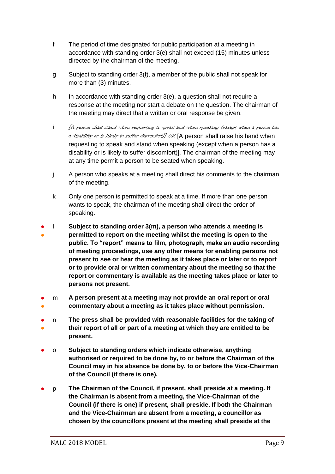- f The period of time designated for public participation at a meeting in accordance with standing order 3(e) shall not exceed (15) minutes unless directed by the chairman of the meeting.
- g Subject to standing order 3(f), a member of the public shall not speak for more than (3) minutes.
- h In accordance with standing order 3(e), a question shall not require a response at the meeting nor start a debate on the question. The chairman of the meeting may direct that a written or oral response be given.
- i [A person shall stand when requesting to speak and when speaking (except when a person has a disability or is likely to suffer discomfort)] OR [A person shall raise his hand when requesting to speak and stand when speaking (except when a person has a disability or is likely to suffer discomfort)]. The chairman of the meeting may at any time permit a person to be seated when speaking.
- j A person who speaks at a meeting shall direct his comments to the chairman of the meeting.
- k Only one person is permitted to speak at a time. If more than one person wants to speak, the chairman of the meeting shall direct the order of speaking.
- ● l **Subject to standing order 3(m), a person who attends a meeting is permitted to report on the meeting whilst the meeting is open to the public. To "report" means to film, photograph, make an audio recording of meeting proceedings, use any other means for enabling persons not present to see or hear the meeting as it takes place or later or to report or to provide oral or written commentary about the meeting so that the report or commentary is available as the meeting takes place or later to persons not present.**
- ● m **A person present at a meeting may not provide an oral report or oral commentary about a meeting as it takes place without permission.**
- ● n **The press shall be provided with reasonable facilities for the taking of their report of all or part of a meeting at which they are entitled to be present.**
- o **Subject to standing orders which indicate otherwise, anything authorised or required to be done by, to or before the Chairman of the Council may in his absence be done by, to or before the Vice-Chairman of the Council (if there is one).**
- p **The Chairman of the Council, if present, shall preside at a meeting. If the Chairman is absent from a meeting, the Vice-Chairman of the Council (if there is one) if present, shall preside. If both the Chairman and the Vice-Chairman are absent from a meeting, a councillor as chosen by the councillors present at the meeting shall preside at the**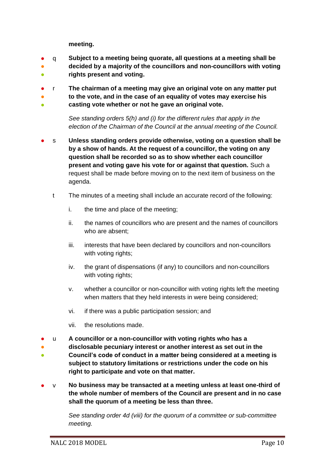**meeting.**

- q **Subject to a meeting being quorate, all questions at a meeting shall be**
- ● **decided by a majority of the councillors and non-councillors with voting rights present and voting.**
- r **The chairman of a meeting may give an original vote on any matter put**
- **to the vote, and in the case of an equality of votes may exercise his**
- **casting vote whether or not he gave an original vote.**

*See standing orders 5(h) and (i) for the different rules that apply in the election of the Chairman of the Council at the annual meeting of the Council.*

- s **Unless standing orders provide otherwise, voting on a question shall be by a show of hands. At the request of a councillor, the voting on any question shall be recorded so as to show whether each councillor present and voting gave his vote for or against that question.** Such a request shall be made before moving on to the next item of business on the agenda.
	- t The minutes of a meeting shall include an accurate record of the following:
		- i. the time and place of the meeting;
		- ii. the names of councillors who are present and the names of councillors who are absent;
		- iii. interests that have been declared by councillors and non-councillors with voting rights;
		- iv. the grant of dispensations (if any) to councillors and non-councillors with voting rights;
		- v. whether a councillor or non-councillor with voting rights left the meeting when matters that they held interests in were being considered;
		- vi. if there was a public participation session; and
		- vii. the resolutions made.
- u **A councillor or a non-councillor with voting rights who has a**
- ● **disclosable pecuniary interest or another interest as set out in the Council's code of conduct in a matter being considered at a meeting is subject to statutory limitations or restrictions under the code on his right to participate and vote on that matter.**
- v **No business may be transacted at a meeting unless at least one-third of the whole number of members of the Council are present and in no case shall the quorum of a meeting be less than three.**

*See standing order 4d (viii) for the quorum of a committee or sub-committee meeting.*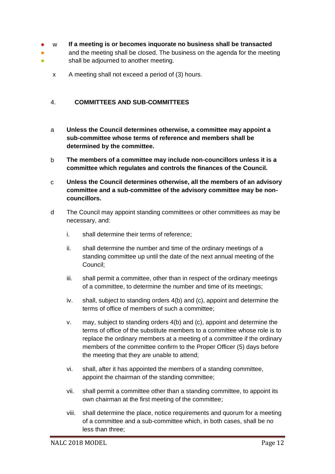- w **If a meeting is or becomes inquorate no business shall be transacted**
- ● and the meeting shall be closed. The business on the agenda for the meeting shall be adjourned to another meeting.
	- x A meeting shall not exceed a period of (3) hours.

## <span id="page-11-0"></span>4. **COMMITTEES AND SUB-COMMITTEES**

- a **Unless the Council determines otherwise, a committee may appoint a sub-committee whose terms of reference and members shall be determined by the committee.**
- b **The members of a committee may include non-councillors unless it is a committee which regulates and controls the finances of the Council.**
- c **Unless the Council determines otherwise, all the members of an advisory committee and a sub-committee of the advisory committee may be noncouncillors.**
- d The Council may appoint standing committees or other committees as may be necessary, and:
	- i. shall determine their terms of reference;
	- ii. shall determine the number and time of the ordinary meetings of a standing committee up until the date of the next annual meeting of the Council;
	- iii. shall permit a committee, other than in respect of the ordinary meetings of a committee, to determine the number and time of its meetings;
	- iv. shall, subject to standing orders 4(b) and (c), appoint and determine the terms of office of members of such a committee;
	- v. may, subject to standing orders 4(b) and (c), appoint and determine the terms of office of the substitute members to a committee whose role is to replace the ordinary members at a meeting of a committee if the ordinary members of the committee confirm to the Proper Officer (5) days before the meeting that they are unable to attend;
	- vi. shall, after it has appointed the members of a standing committee, appoint the chairman of the standing committee;
	- vii. shall permit a committee other than a standing committee, to appoint its own chairman at the first meeting of the committee;
	- viii. shall determine the place, notice requirements and quorum for a meeting of a committee and a sub-committee which, in both cases, shall be no less than three;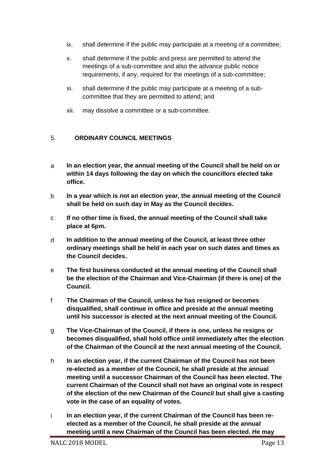- ix. shall determine if the public may participate at a meeting of a committee;
- x. shall determine if the public and press are permitted to attend the meetings of a sub-committee and also the advance public notice requirements, if any, required for the meetings of a sub-committee;
- xi. shall determine if the public may participate at a meeting of a subcommittee that they are permitted to attend; and
- xii. may dissolve a committee or a sub-committee.

## <span id="page-12-0"></span>5. **ORDINARY COUNCIL MEETINGS**

- a **In an election year, the annual meeting of the Council shall be held on or within 14 days following the day on which the councillors elected take office.**
- b **In a year which is not an election year, the annual meeting of the Council shall be held on such day in May as the Council decides.**
- c **If no other time is fixed, the annual meeting of the Council shall take place at 6pm.**
- d **In addition to the annual meeting of the Council, at least three other ordinary meetings shall be held in each year on such dates and times as the Council decides.**
- e **The first business conducted at the annual meeting of the Council shall be the election of the Chairman and Vice-Chairman (if there is one) of the Council.**
- f **The Chairman of the Council, unless he has resigned or becomes disqualified, shall continue in office and preside at the annual meeting until his successor is elected at the next annual meeting of the Council.**
- g **The Vice-Chairman of the Council, if there is one, unless he resigns or becomes disqualified, shall hold office until immediately after the election of the Chairman of the Council at the next annual meeting of the Council.**
- h **In an election year, if the current Chairman of the Council has not been re-elected as a member of the Council, he shall preside at the annual meeting until a successor Chairman of the Council has been elected. The current Chairman of the Council shall not have an original vote in respect of the election of the new Chairman of the Council but shall give a casting vote in the case of an equality of votes.**
- i **In an election year, if the current Chairman of the Council has been reelected as a member of the Council, he shall preside at the annual meeting until a new Chairman of the Council has been elected. He may**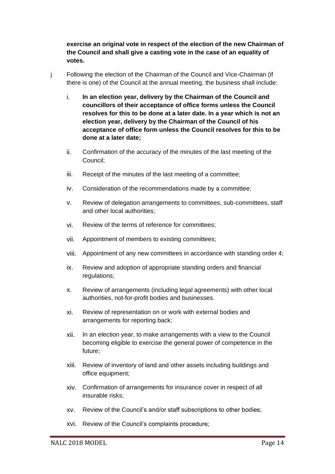**exercise an original vote in respect of the election of the new Chairman of the Council and shall give a casting vote in the case of an equality of votes.**

- j Following the election of the Chairman of the Council and Vice-Chairman (if there is one) of the Council at the annual meeting, the business shall include:
	- i. **In an election year, delivery by the Chairman of the Council and councillors of their acceptance of office forms unless the Council resolves for this to be done at a later date. In a year which is not an election year, delivery by the Chairman of the Council of his acceptance of office form unless the Council resolves for this to be done at a later date;**
	- ii. Confirmation of the accuracy of the minutes of the last meeting of the Council;
	- iii. Receipt of the minutes of the last meeting of a committee;
	- iv. Consideration of the recommendations made by a committee;
	- v. Review of delegation arrangements to committees, sub-committees, staff and other local authorities;
	- vi. Review of the terms of reference for committees;
	- vii. Appointment of members to existing committees;
	- viii. Appointment of any new committees in accordance with standing order 4;
	- ix. Review and adoption of appropriate standing orders and financial regulations;
	- x. Review of arrangements (including legal agreements) with other local authorities, not-for-profit bodies and businesses.
	- xi. Review of representation on or work with external bodies and arrangements for reporting back;
	- xii. In an election year, to make arrangements with a view to the Council becoming eligible to exercise the general power of competence in the future;
	- xiii. Review of inventory of land and other assets including buildings and office equipment;
	- xiv. Confirmation of arrangements for insurance cover in respect of all insurable risks;
	- xv. Review of the Council's and/or staff subscriptions to other bodies;
	- xvi. Review of the Council's complaints procedure;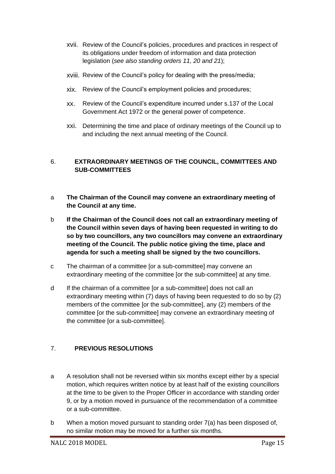- xvii. Review of the Council's policies, procedures and practices in respect of its obligations under freedom of information and data protection legislation (*see also standing orders 11, 20 and 21*);
- xviii. Review of the Council's policy for dealing with the press/media;
- xix. Review of the Council's employment policies and procedures;
- xx. Review of the Council's expenditure incurred under s.137 of the Local Government Act 1972 or the general power of competence.
- xxi. Determining the time and place of ordinary meetings of the Council up to and including the next annual meeting of the Council.

# <span id="page-14-0"></span>6. **EXTRAORDINARY MEETINGS OF THE COUNCIL, COMMITTEES AND SUB-COMMITTEES**

- a **The Chairman of the Council may convene an extraordinary meeting of the Council at any time.**
- b **If the Chairman of the Council does not call an extraordinary meeting of the Council within seven days of having been requested in writing to do so by two councillors, any two councillors may convene an extraordinary meeting of the Council. The public notice giving the time, place and agenda for such a meeting shall be signed by the two councillors.**
- c The chairman of a committee [or a sub-committee] may convene an extraordinary meeting of the committee [or the sub-committee] at any time.
- d If the chairman of a committee [or a sub-committee] does not call an extraordinary meeting within (7) days of having been requested to do so by (2) members of the committee [or the sub-committee], any (2) members of the committee [or the sub-committee] may convene an extraordinary meeting of the committee [or a sub-committee].

# <span id="page-14-1"></span>7. **PREVIOUS RESOLUTIONS**

- a A resolution shall not be reversed within six months except either by a special motion, which requires written notice by at least half of the existing councillors at the time to be given to the Proper Officer in accordance with standing order 9, or by a motion moved in pursuance of the recommendation of a committee or a sub-committee.
- b When a motion moved pursuant to standing order 7(a) has been disposed of, no similar motion may be moved for a further six months.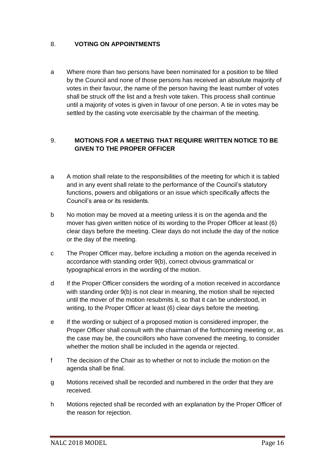# <span id="page-15-0"></span>8. **VOTING ON APPOINTMENTS**

a Where more than two persons have been nominated for a position to be filled by the Council and none of those persons has received an absolute majority of votes in their favour, the name of the person having the least number of votes shall be struck off the list and a fresh vote taken. This process shall continue until a majority of votes is given in favour of one person. A tie in votes may be settled by the casting vote exercisable by the chairman of the meeting.

# <span id="page-15-1"></span>9. **MOTIONS FOR A MEETING THAT REQUIRE WRITTEN NOTICE TO BE GIVEN TO THE PROPER OFFICER**

- a A motion shall relate to the responsibilities of the meeting for which it is tabled and in any event shall relate to the performance of the Council's statutory functions, powers and obligations or an issue which specifically affects the Council's area or its residents.
- b No motion may be moved at a meeting unless it is on the agenda and the mover has given written notice of its wording to the Proper Officer at least (6) clear days before the meeting. Clear days do not include the day of the notice or the day of the meeting.
- c The Proper Officer may, before including a motion on the agenda received in accordance with standing order 9(b), correct obvious grammatical or typographical errors in the wording of the motion.
- d If the Proper Officer considers the wording of a motion received in accordance with standing order 9(b) is not clear in meaning, the motion shall be rejected until the mover of the motion resubmits it, so that it can be understood, in writing, to the Proper Officer at least (6) clear days before the meeting.
- e If the wording or subject of a proposed motion is considered improper, the Proper Officer shall consult with the chairman of the forthcoming meeting or, as the case may be, the councillors who have convened the meeting, to consider whether the motion shall be included in the agenda or rejected.
- f The decision of the Chair as to whether or not to include the motion on the agenda shall be final.
- g Motions received shall be recorded and numbered in the order that they are received.
- h Motions rejected shall be recorded with an explanation by the Proper Officer of the reason for rejection.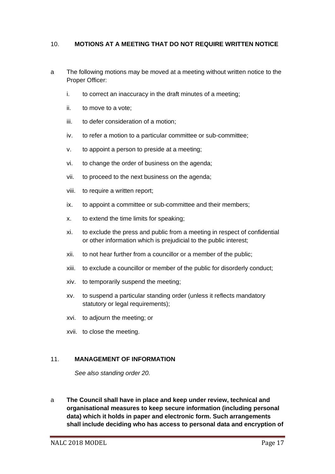#### <span id="page-16-0"></span>10. **MOTIONS AT A MEETING THAT DO NOT REQUIRE WRITTEN NOTICE**

- a The following motions may be moved at a meeting without written notice to the Proper Officer:
	- i. to correct an inaccuracy in the draft minutes of a meeting;
	- ii. to move to a vote;
	- iii. to defer consideration of a motion;
	- iv. to refer a motion to a particular committee or sub-committee;
	- v. to appoint a person to preside at a meeting;
	- vi. to change the order of business on the agenda;
	- vii. to proceed to the next business on the agenda;
	- viii. to require a written report;
	- ix. to appoint a committee or sub-committee and their members;
	- x. to extend the time limits for speaking;
	- xi. to exclude the press and public from a meeting in respect of confidential or other information which is prejudicial to the public interest;
	- xii. to not hear further from a councillor or a member of the public;
	- xiii. to exclude a councillor or member of the public for disorderly conduct;
	- xiv. to temporarily suspend the meeting;
	- xv. to suspend a particular standing order (unless it reflects mandatory statutory or legal requirements);
	- xvi. to adjourn the meeting; or
	- xvii. to close the meeting.

#### <span id="page-16-1"></span>11. **MANAGEMENT OF INFORMATION**

*See also standing order 20.*

a **The Council shall have in place and keep under review, technical and organisational measures to keep secure information (including personal data) which it holds in paper and electronic form. Such arrangements shall include deciding who has access to personal data and encryption of**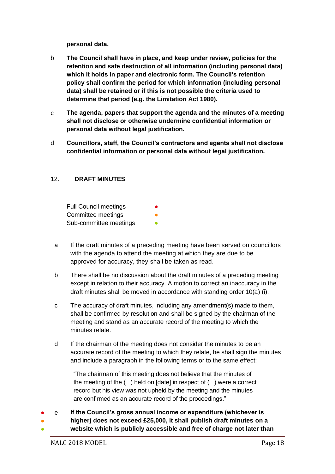**personal data.**

- b **The Council shall have in place, and keep under review, policies for the retention and safe destruction of all information (including personal data) which it holds in paper and electronic form. The Council's retention policy shall confirm the period for which information (including personal data) shall be retained or if this is not possible the criteria used to determine that period (e.g. the Limitation Act 1980).**
- c **The agenda, papers that support the agenda and the minutes of a meeting shall not disclose or otherwise undermine confidential information or personal data without legal justification.**
- d **Councillors, staff, the Council's contractors and agents shall not disclose confidential information or personal data without legal justification.**

#### <span id="page-17-0"></span>12. **DRAFT MINUTES**

Full Council meetings Committee meetings Sub-committee meetings

- a If the draft minutes of a preceding meeting have been served on councillors with the agenda to attend the meeting at which they are due to be approved for accuracy, they shall be taken as read.
- b There shall be no discussion about the draft minutes of a preceding meeting except in relation to their accuracy. A motion to correct an inaccuracy in the draft minutes shall be moved in accordance with standing order 10(a) (i).
- c The accuracy of draft minutes, including any amendment(s) made to them, shall be confirmed by resolution and shall be signed by the chairman of the meeting and stand as an accurate record of the meeting to which the minutes relate.
- d If the chairman of the meeting does not consider the minutes to be an accurate record of the meeting to which they relate, he shall sign the minutes and include a paragraph in the following terms or to the same effect:

"The chairman of this meeting does not believe that the minutes of the meeting of the ( ) held on [date] in respect of ( ) were a correct record but his view was not upheld by the meeting and the minutes are confirmed as an accurate record of the proceedings."

- e **If the Council's gross annual income or expenditure (whichever is** 
	- **higher) does not exceed £25,000, it shall publish draft minutes on a**
- **website which is publicly accessible and free of charge not later than**

●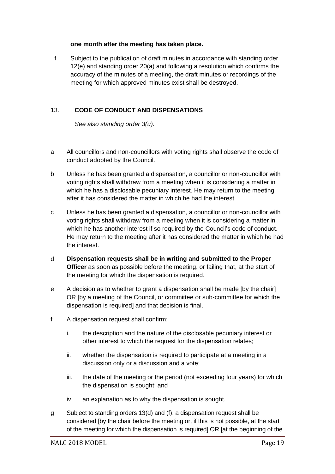#### **one month after the meeting has taken place.**

f Subject to the publication of draft minutes in accordance with standing order 12(e) and standing order 20(a) and following a resolution which confirms the accuracy of the minutes of a meeting, the draft minutes or recordings of the meeting for which approved minutes exist shall be destroyed.

# <span id="page-18-0"></span>13. **CODE OF CONDUCT AND DISPENSATIONS**

*See also standing order 3(u).*

- a All councillors and non-councillors with voting rights shall observe the code of conduct adopted by the Council.
- b Unless he has been granted a dispensation, a councillor or non-councillor with voting rights shall withdraw from a meeting when it is considering a matter in which he has a disclosable pecuniary interest. He may return to the meeting after it has considered the matter in which he had the interest.
- c Unless he has been granted a dispensation, a councillor or non-councillor with voting rights shall withdraw from a meeting when it is considering a matter in which he has another interest if so required by the Council's code of conduct. He may return to the meeting after it has considered the matter in which he had the interest.
- d **Dispensation requests shall be in writing and submitted to the Proper Officer** as soon as possible before the meeting, or failing that, at the start of the meeting for which the dispensation is required.
- e A decision as to whether to grant a dispensation shall be made [by the chair] OR [by a meeting of the Council, or committee or sub-committee for which the dispensation is required] and that decision is final.
- f A dispensation request shall confirm:
	- i. the description and the nature of the disclosable pecuniary interest or other interest to which the request for the dispensation relates;
	- ii. whether the dispensation is required to participate at a meeting in a discussion only or a discussion and a vote;
	- iii. the date of the meeting or the period (not exceeding four years) for which the dispensation is sought; and
	- iv. an explanation as to why the dispensation is sought.
- g Subject to standing orders 13(d) and (f), a dispensation request shall be considered [by the chair before the meeting or, if this is not possible, at the start of the meeting for which the dispensation is required] OR [at the beginning of the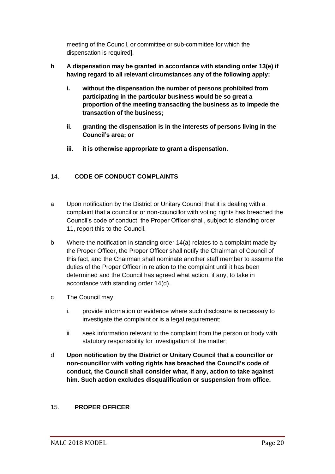meeting of the Council, or committee or sub-committee for which the dispensation is required].

# **h A dispensation may be granted in accordance with standing order 13(e) if having regard to all relevant circumstances any of the following apply:**

- **i. without the dispensation the number of persons prohibited from participating in the particular business would be so great a proportion of the meeting transacting the business as to impede the transaction of the business;**
- **ii. granting the dispensation is in the interests of persons living in the Council's area; or**
- **iii. it is otherwise appropriate to grant a dispensation.**

# <span id="page-19-0"></span>14. **CODE OF CONDUCT COMPLAINTS**

- a Upon notification by the District or Unitary Council that it is dealing with a complaint that a councillor or non-councillor with voting rights has breached the Council's code of conduct, the Proper Officer shall, subject to standing order 11, report this to the Council.
- b Where the notification in standing order 14(a) relates to a complaint made by the Proper Officer, the Proper Officer shall notify the Chairman of Council of this fact, and the Chairman shall nominate another staff member to assume the duties of the Proper Officer in relation to the complaint until it has been determined and the Council has agreed what action, if any, to take in accordance with standing order 14(d).
- c The Council may:
	- i. provide information or evidence where such disclosure is necessary to investigate the complaint or is a legal requirement;
	- ii. seek information relevant to the complaint from the person or body with statutory responsibility for investigation of the matter;
- d **Upon notification by the District or Unitary Council that a councillor or non-councillor with voting rights has breached the Council's code of conduct, the Council shall consider what, if any, action to take against him. Such action excludes disqualification or suspension from office.**

# <span id="page-19-1"></span>15. **PROPER OFFICER**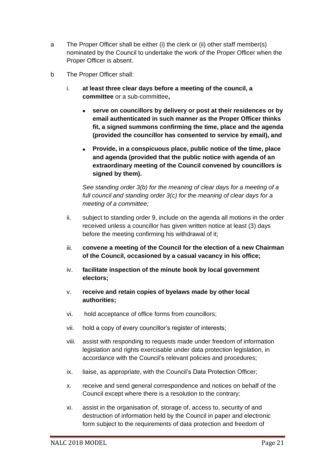- a The Proper Officer shall be either (i) the clerk or (ii) other staff member(s) nominated by the Council to undertake the work of the Proper Officer when the Proper Officer is absent.
- b The Proper Officer shall:
	- i. **at least three clear days before a meeting of the council, a committee** or a sub-committee**,**
		- **serve on councillors by delivery or post at their residences or by email authenticated in such manner as the Proper Officer thinks fit, a signed summons confirming the time, place and the agenda (provided the councillor has consented to service by email), and**
		- **Provide, in a conspicuous place, public notice of the time, place and agenda (provided that the public notice with agenda of an extraordinary meeting of the Council convened by councillors is signed by them).**

*See standing order 3(b) for the meaning of clear days for a meeting of a full council and standing order 3(c) for the meaning of clear days for a meeting of a committee;*

- ii. subject to standing order 9, include on the agenda all motions in the order received unless a councillor has given written notice at least (3) days before the meeting confirming his withdrawal of it;
- iii. **convene a meeting of the Council for the election of a new Chairman of the Council, occasioned by a casual vacancy in his office;**
- iv. **facilitate inspection of the minute book by local government electors;**
- v. **receive and retain copies of byelaws made by other local authorities;**
- vi. hold acceptance of office forms from councillors;
- vii. hold a copy of every councillor's register of interests;
- viii. assist with responding to requests made under freedom of information legislation and rights exercisable under data protection legislation, in accordance with the Council's relevant policies and procedures;
- ix. liaise, as appropriate, with the Council's Data Protection Officer;
- x. receive and send general correspondence and notices on behalf of the Council except where there is a resolution to the contrary;
- xi. assist in the organisation of, storage of, access to, security of and destruction of information held by the Council in paper and electronic form subject to the requirements of data protection and freedom of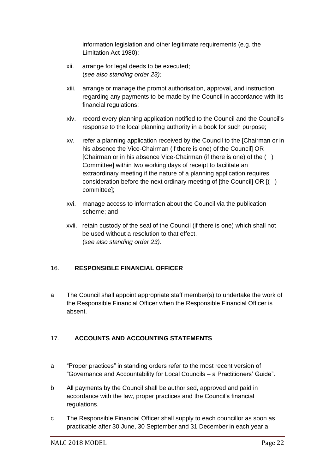information legislation and other legitimate requirements (e.g. the Limitation Act 1980);

- xii. arrange for legal deeds to be executed; (*see also standing order 23);*
- xiii. arrange or manage the prompt authorisation, approval, and instruction regarding any payments to be made by the Council in accordance with its financial regulations;
- xiv. record every planning application notified to the Council and the Council's response to the local planning authority in a book for such purpose;
- xv. refer a planning application received by the Council to the [Chairman or in his absence the Vice-Chairman (if there is one) of the Council] OR [Chairman or in his absence Vice-Chairman (if there is one) of the ( ) Committee] within two working days of receipt to facilitate an extraordinary meeting if the nature of a planning application requires consideration before the next ordinary meeting of [the Council] OR [( ) committee];
- xvi. manage access to information about the Council via the publication scheme; and
- xvii. retain custody of the seal of the Council (if there is one) which shall not be used without a resolution to that effect. (s*ee also standing order 23).*

# <span id="page-21-0"></span>16. **RESPONSIBLE FINANCIAL OFFICER**

a The Council shall appoint appropriate staff member(s) to undertake the work of the Responsible Financial Officer when the Responsible Financial Officer is absent.

# <span id="page-21-1"></span>17. **ACCOUNTS AND ACCOUNTING STATEMENTS**

- a "Proper practices" in standing orders refer to the most recent version of "Governance and Accountability for Local Councils – a Practitioners' Guide".
- b All payments by the Council shall be authorised, approved and paid in accordance with the law, proper practices and the Council's financial regulations.
- c The Responsible Financial Officer shall supply to each councillor as soon as practicable after 30 June, 30 September and 31 December in each year a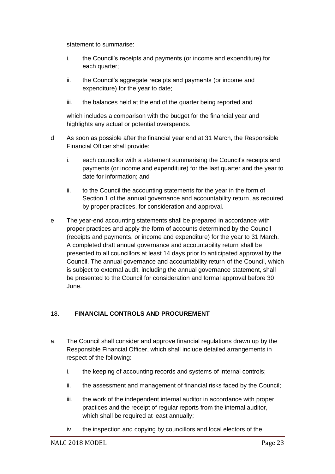statement to summarise:

- i. the Council's receipts and payments (or income and expenditure) for each quarter;
- ii. the Council's aggregate receipts and payments (or income and expenditure) for the year to date;
- iii. the balances held at the end of the quarter being reported and

which includes a comparison with the budget for the financial year and highlights any actual or potential overspends.

- d As soon as possible after the financial year end at 31 March, the Responsible Financial Officer shall provide:
	- i. each councillor with a statement summarising the Council's receipts and payments (or income and expenditure) for the last quarter and the year to date for information; and
	- ii. to the Council the accounting statements for the year in the form of Section 1 of the annual governance and accountability return, as required by proper practices, for consideration and approval.
- e The year-end accounting statements shall be prepared in accordance with proper practices and apply the form of accounts determined by the Council (receipts and payments, or income and expenditure) for the year to 31 March. A completed draft annual governance and accountability return shall be presented to all councillors at least 14 days prior to anticipated approval by the Council. The annual governance and accountability return of the Council, which is subject to external audit, including the annual governance statement, shall be presented to the Council for consideration and formal approval before 30 June.

# <span id="page-22-0"></span>18. **FINANCIAL CONTROLS AND PROCUREMENT**

- a. The Council shall consider and approve financial regulations drawn up by the Responsible Financial Officer, which shall include detailed arrangements in respect of the following:
	- i. the keeping of accounting records and systems of internal controls;
	- ii. the assessment and management of financial risks faced by the Council;
	- iii. the work of the independent internal auditor in accordance with proper practices and the receipt of regular reports from the internal auditor, which shall be required at least annually;
	- iv. the inspection and copying by councillors and local electors of the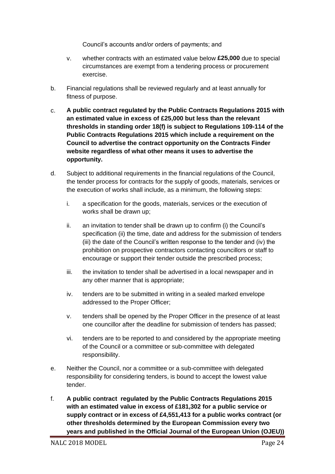Council's accounts and/or orders of payments; and

- v. whether contracts with an estimated value below **£25,000** due to special circumstances are exempt from a tendering process or procurement exercise.
- b. Financial regulations shall be reviewed regularly and at least annually for fitness of purpose.
- c. **A public contract regulated by the Public Contracts Regulations 2015 with an estimated value in excess of £25,000 but less than the relevant thresholds in standing order 18(f) is subject to Regulations 109-114 of the Public Contracts Regulations 2015 which include a requirement on the Council to advertise the contract opportunity on the Contracts Finder website regardless of what other means it uses to advertise the opportunity.**
- d. Subject to additional requirements in the financial regulations of the Council, the tender process for contracts for the supply of goods, materials, services or the execution of works shall include, as a minimum, the following steps:
	- i. a specification for the goods, materials, services or the execution of works shall be drawn up;
	- ii. an invitation to tender shall be drawn up to confirm (i) the Council's specification (ii) the time, date and address for the submission of tenders (iii) the date of the Council's written response to the tender and (iv) the prohibition on prospective contractors contacting councillors or staff to encourage or support their tender outside the prescribed process;
	- iii. the invitation to tender shall be advertised in a local newspaper and in any other manner that is appropriate;
	- iv. tenders are to be submitted in writing in a sealed marked envelope addressed to the Proper Officer;
	- v. tenders shall be opened by the Proper Officer in the presence of at least one councillor after the deadline for submission of tenders has passed;
	- vi. tenders are to be reported to and considered by the appropriate meeting of the Council or a committee or sub-committee with delegated responsibility.
- e. Neither the Council, nor a committee or a sub-committee with delegated responsibility for considering tenders, is bound to accept the lowest value tender.
- f. **A public contract regulated by the Public Contracts Regulations 2015 with an estimated value in excess of £181,302 for a public service or supply contract or in excess of £4,551,413 for a public works contract (or other thresholds determined by the European Commission every two years and published in the Official Journal of the European Union (OJEU))**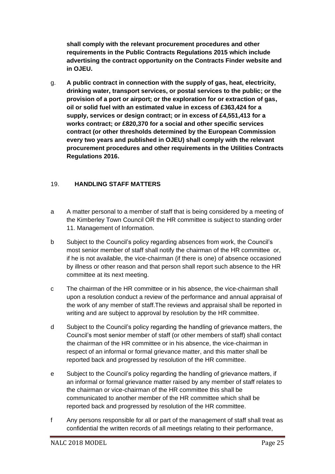**shall comply with the relevant procurement procedures and other requirements in the Public Contracts Regulations 2015 which include advertising the contract opportunity on the Contracts Finder website and in OJEU.**

g. **A public contract in connection with the supply of gas, heat, electricity, drinking water, transport services, or postal services to the public; or the provision of a port or airport; or the exploration for or extraction of gas, oil or solid fuel with an estimated value in excess of £363,424 for a supply, services or design contract; or in excess of £4,551,413 for a works contract; or £820,370 for a social and other specific services contract (or other thresholds determined by the European Commission every two years and published in OJEU) shall comply with the relevant procurement procedures and other requirements in the Utilities Contracts Regulations 2016.**

# <span id="page-24-0"></span>19. **HANDLING STAFF MATTERS**

- a A matter personal to a member of staff that is being considered by a meeting of the Kimberley Town Council OR the HR committee is subject to standing order 11. Management of Information.
- b Subject to the Council's policy regarding absences from work, the Council's most senior member of staff shall notify the chairman of the HR committee or, if he is not available, the vice-chairman (if there is one) of absence occasioned by illness or other reason and that person shall report such absence to the HR committee at its next meeting.
- c The chairman of the HR committee or in his absence, the vice-chairman shall upon a resolution conduct a review of the performance and annual appraisal of the work of any member of staff.The reviews and appraisal shall be reported in writing and are subject to approval by resolution by the HR committee.
- d Subject to the Council's policy regarding the handling of grievance matters, the Council's most senior member of staff (or other members of staff) shall contact the chairman of the HR committee or in his absence, the vice-chairman in respect of an informal or formal grievance matter, and this matter shall be reported back and progressed by resolution of the HR committee.
- e Subject to the Council's policy regarding the handling of grievance matters, if an informal or formal grievance matter raised by any member of staff relates to the chairman or vice-chairman of the HR committee this shall be communicated to another member of the HR committee which shall be reported back and progressed by resolution of the HR committee.
- f Any persons responsible for all or part of the management of staff shall treat as confidential the written records of all meetings relating to their performance,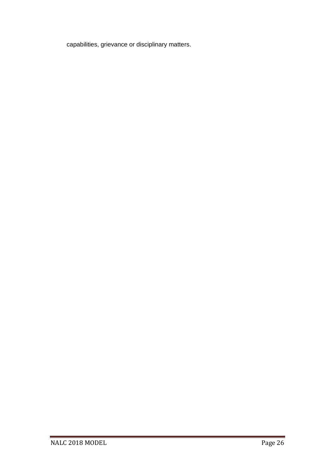capabilities, grievance or disciplinary matters.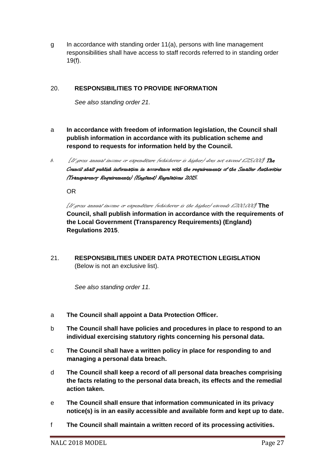g In accordance with standing order 11(a), persons with line management responsibilities shall have access to staff records referred to in standing order 19(f).

## <span id="page-26-0"></span>20. **RESPONSIBILITIES TO PROVIDE INFORMATION**

*See also standing order 21.*

- a **In accordance with freedom of information legislation, the Council shall publish information in accordance with its publication scheme and respond to requests for information held by the Council.**
- b. [If gross annual income or expenditure (whichever is higher) does not exceed £25,000] The Council shall publish information in accordance with the requirements of the Smaller Authorities (Transparency Requirements) (England) Regulations 2015.

OR

[If gross annual income or expenditure (whichever is the higher) exceeds £200,000] **The Council, shall publish information in accordance with the requirements of the Local Government (Transparency Requirements) (England) Regulations 2015**.

<span id="page-26-1"></span>21. **RESPONSIBILITIES UNDER DATA PROTECTION LEGISLATION**  (Below is not an exclusive list).

*See also standing order 11.*

- a **The Council shall appoint a Data Protection Officer.**
- b **The Council shall have policies and procedures in place to respond to an individual exercising statutory rights concerning his personal data.**
- c **The Council shall have a written policy in place for responding to and managing a personal data breach.**
- d **The Council shall keep a record of all personal data breaches comprising the facts relating to the personal data breach, its effects and the remedial action taken.**
- e **The Council shall ensure that information communicated in its privacy notice(s) is in an easily accessible and available form and kept up to date.**
- f **The Council shall maintain a written record of its processing activities.**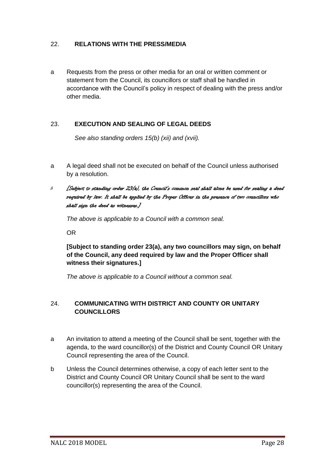### <span id="page-27-0"></span>22. **RELATIONS WITH THE PRESS/MEDIA**

a Requests from the press or other media for an oral or written comment or statement from the Council, its councillors or staff shall be handled in accordance with the Council's policy in respect of dealing with the press and/or other media.

## <span id="page-27-1"></span>23. **EXECUTION AND SEALING OF LEGAL DEEDS**

*See also standing orders 15(b) (xii) and (xvii).*

- a A legal deed shall not be executed on behalf of the Council unless authorised by a resolution.
- $b$  [Subject to standing order 23(a), the Council's common seal shall alone be used for sealing a deed required by law. It shall be applied by the Proper Officer in the presence of two councillors who shall sign the deed as witnesses.]

*The above is applicable to a Council with a common seal.*

OR

**[Subject to standing order 23(a), any two councillors may sign, on behalf of the Council, any deed required by law and the Proper Officer shall witness their signatures.]** 

*The above is applicable to a Council without a common seal.*

## <span id="page-27-2"></span>24. **COMMUNICATING WITH DISTRICT AND COUNTY OR UNITARY COUNCILLORS**

- a An invitation to attend a meeting of the Council shall be sent, together with the agenda, to the ward councillor(s) of the District and County Council OR Unitary Council representing the area of the Council.
- b Unless the Council determines otherwise, a copy of each letter sent to the District and County Council OR Unitary Council shall be sent to the ward councillor(s) representing the area of the Council.